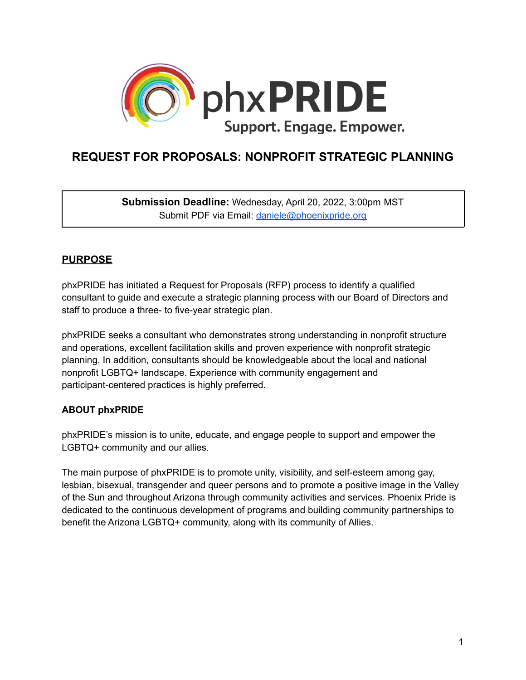

# **REQUEST FOR PROPOSALS: NONPROFIT STRATEGIC PLANNING**

**Submission Deadline:** Wednesday, April 20, 2022, 3:00pm MST Submit PDF via Email: [daniele@phoenixpride.org](mailto:daniele@phoenixpride.org)

# **PURPOSE**

phxPRIDE has initiated a Request for Proposals (RFP) process to identify a qualified consultant to guide and execute a strategic planning process with our Board of Directors and staff to produce a three- to five-year strategic plan.

phxPRIDE seeks a consultant who demonstrates strong understanding in nonprofit structure and operations, excellent facilitation skills and proven experience with nonprofit strategic planning. In addition, consultants should be knowledgeable about the local and national nonprofit LGBTQ+ landscape. Experience with community engagement and participant-centered practices is highly preferred.

# **ABOUT phxPRIDE**

phxPRIDE's mission is to unite, educate, and engage people to support and empower the LGBTQ+ community and our allies.

The main purpose of phxPRIDE is to promote unity, visibility, and self-esteem among gay, lesbian, bisexual, transgender and queer persons and to promote a positive image in the Valley of the Sun and throughout Arizona through community activities and services. Phoenix Pride is dedicated to the continuous development of programs and building community partnerships to benefit the Arizona LGBTQ+ community, along with its community of Allies.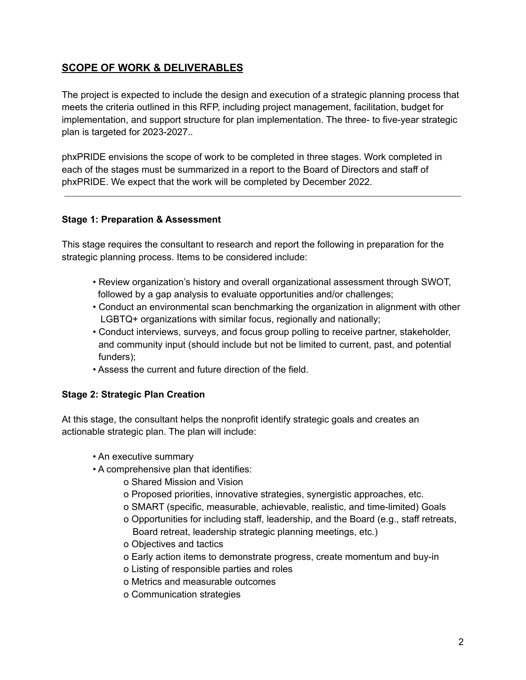# **SCOPE OF WORK & DELIVERABLES**

The project is expected to include the design and execution of a strategic planning process that meets the criteria outlined in this RFP, including project management, facilitation, budget for implementation, and support structure for plan implementation. The three- to five-year strategic plan is targeted for 2023-2027..

phxPRIDE envisions the scope of work to be completed in three stages. Work completed in each of the stages must be summarized in a report to the Board of Directors and staff of phxPRIDE. We expect that the work will be completed by December 2022.

# **Stage 1: Preparation & Assessment**

This stage requires the consultant to research and report the following in preparation for the strategic planning process. Items to be considered include:

- Review organization's history and overall organizational assessment through SWOT, followed by a gap analysis to evaluate opportunities and/or challenges;
- Conduct an environmental scan benchmarking the organization in alignment with other LGBTQ+ organizations with similar focus, regionally and nationally;
- Conduct interviews, surveys, and focus group polling to receive partner, stakeholder, and community input (should include but not be limited to current, past, and potential funders);
- Assess the current and future direction of the field.

# **Stage 2: Strategic Plan Creation**

At this stage, the consultant helps the nonprofit identify strategic goals and creates an actionable strategic plan. The plan will include:

- An executive summary
- A comprehensive plan that identifies:
	- o Shared Mission and Vision
	- o Proposed priorities, innovative strategies, synergistic approaches, etc.
	- o SMART (specific, measurable, achievable, realistic, and time-limited) Goals
	- o Opportunities for including staff, leadership, and the Board (e.g., staff retreats, Board retreat, leadership strategic planning meetings, etc.)
	- o Objectives and tactics
	- o Early action items to demonstrate progress, create momentum and buy-in
	- o Listing of responsible parties and roles
	- o Metrics and measurable outcomes
	- o Communication strategies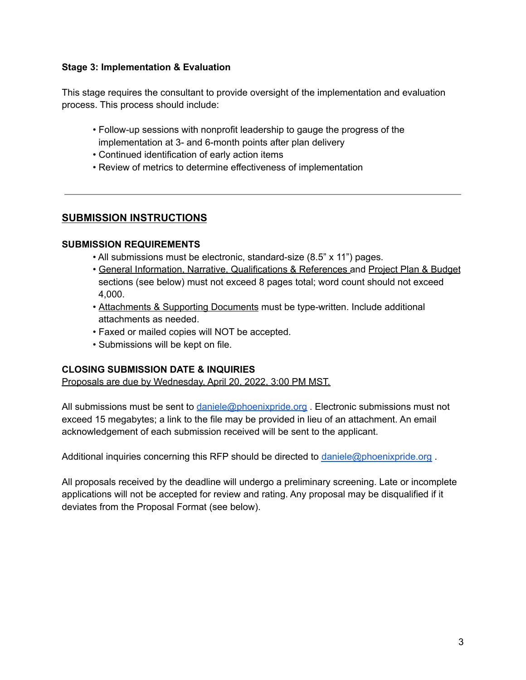### **Stage 3: Implementation & Evaluation**

This stage requires the consultant to provide oversight of the implementation and evaluation process. This process should include:

- Follow-up sessions with nonprofit leadership to gauge the progress of the implementation at 3- and 6-month points after plan delivery
- Continued identification of early action items
- Review of metrics to determine effectiveness of implementation

# **SUBMISSION INSTRUCTIONS**

#### **SUBMISSION REQUIREMENTS**

- All submissions must be electronic, standard-size (8.5" x 11") pages.
- General Information, Narrative, Qualifications & References and Project Plan & Budget sections (see below) must not exceed 8 pages total; word count should not exceed 4,000.
- Attachments & Supporting Documents must be type-written. Include additional attachments as needed.
- Faxed or mailed copies will NOT be accepted.
- Submissions will be kept on file.

# **CLOSING SUBMISSION DATE & INQUIRIES**

Proposals are due by Wednesday, April 20, 2022, 3:00 PM MST.

All submissions must be sent to [daniele@phoenixpride.org](mailto:daniele@phoenixpride.org). Electronic submissions must not exceed 15 megabytes; a link to the file may be provided in lieu of an attachment. An email acknowledgement of each submission received will be sent to the applicant.

Additional inquiries concerning this RFP should be directed to [daniele@phoenixpride.org](mailto:daniele@phoenixpride.org).

All proposals received by the deadline will undergo a preliminary screening. Late or incomplete applications will not be accepted for review and rating. Any proposal may be disqualified if it deviates from the Proposal Format (see below).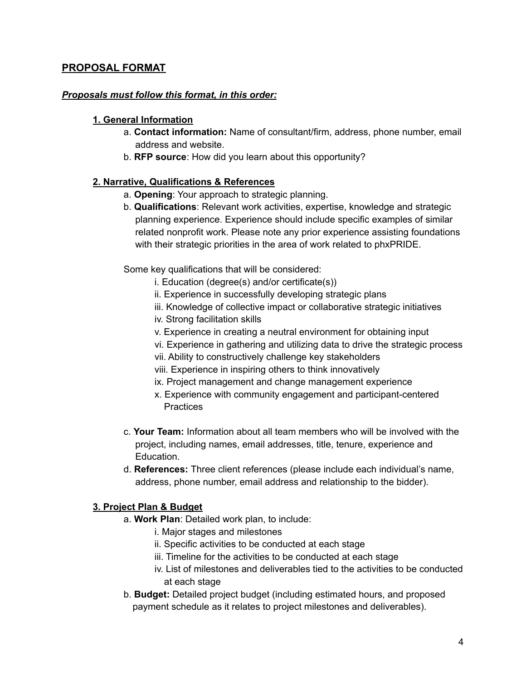# **PROPOSAL FORMAT**

#### *Proposals must follow this format, in this order:*

#### **1. General Information**

- a. **Contact information:** Name of consultant/firm, address, phone number, email address and website.
- b. **RFP source**: How did you learn about this opportunity?

#### **2. Narrative, Qualifications & References**

- a. **Opening**: Your approach to strategic planning.
- b. **Qualifications**: Relevant work activities, expertise, knowledge and strategic planning experience. Experience should include specific examples of similar related nonprofit work. Please note any prior experience assisting foundations with their strategic priorities in the area of work related to phxPRIDE.

Some key qualifications that will be considered:

- i. Education (degree(s) and/or certificate(s))
- ii. Experience in successfully developing strategic plans
- iii. Knowledge of collective impact or collaborative strategic initiatives
- iv. Strong facilitation skills
- v. Experience in creating a neutral environment for obtaining input
- vi. Experience in gathering and utilizing data to drive the strategic process
- vii. Ability to constructively challenge key stakeholders
- viii. Experience in inspiring others to think innovatively
- ix. Project management and change management experience
- x. Experience with community engagement and participant-centered **Practices**
- c. **Your Team:** Information about all team members who will be involved with the project, including names, email addresses, title, tenure, experience and Education.
- d. **References:** Three client references (please include each individual's name, address, phone number, email address and relationship to the bidder).

# **3. Project Plan & Budget**

- a. **Work Plan**: Detailed work plan, to include:
	- i. Major stages and milestones
	- ii. Specific activities to be conducted at each stage
	- iii. Timeline for the activities to be conducted at each stage
	- iv. List of milestones and deliverables tied to the activities to be conducted at each stage
- b. **Budget:** Detailed project budget (including estimated hours, and proposed payment schedule as it relates to project milestones and deliverables).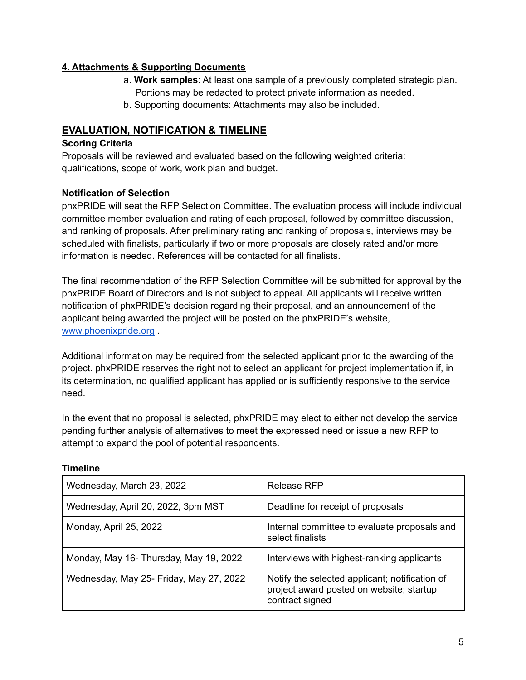# **4. Attachments & Supporting Documents**

- a. **Work samples**: At least one sample of a previously completed strategic plan. Portions may be redacted to protect private information as needed.
- b. Supporting documents: Attachments may also be included.

# **EVALUATION, NOTIFICATION & TIMELINE**

# **Scoring Criteria**

Proposals will be reviewed and evaluated based on the following weighted criteria: qualifications, scope of work, work plan and budget.

# **Notification of Selection**

phxPRIDE will seat the RFP Selection Committee. The evaluation process will include individual committee member evaluation and rating of each proposal, followed by committee discussion, and ranking of proposals. After preliminary rating and ranking of proposals, interviews may be scheduled with finalists, particularly if two or more proposals are closely rated and/or more information is needed. References will be contacted for all finalists.

The final recommendation of the RFP Selection Committee will be submitted for approval by the phxPRIDE Board of Directors and is not subject to appeal. All applicants will receive written notification of phxPRIDE's decision regarding their proposal, and an announcement of the applicant being awarded the project will be posted on the phxPRIDE's website, [www.phoenixpride.org](http://www.phoenixpride.org) .

Additional information may be required from the selected applicant prior to the awarding of the project. phxPRIDE reserves the right not to select an applicant for project implementation if, in its determination, no qualified applicant has applied or is sufficiently responsive to the service need.

In the event that no proposal is selected, phxPRIDE may elect to either not develop the service pending further analysis of alternatives to meet the expressed need or issue a new RFP to attempt to expand the pool of potential respondents.

| Wednesday, March 23, 2022               | Release RFP                                                                                                   |
|-----------------------------------------|---------------------------------------------------------------------------------------------------------------|
| Wednesday, April 20, 2022, 3pm MST      | Deadline for receipt of proposals                                                                             |
| Monday, April 25, 2022                  | Internal committee to evaluate proposals and<br>select finalists                                              |
| Monday, May 16- Thursday, May 19, 2022  | Interviews with highest-ranking applicants                                                                    |
| Wednesday, May 25- Friday, May 27, 2022 | Notify the selected applicant; notification of<br>project award posted on website; startup<br>contract signed |

# **Timeline**